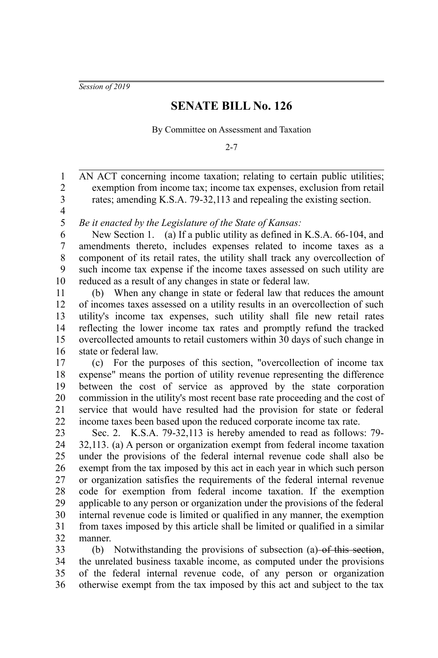*Session of 2019*

## **SENATE BILL No. 126**

By Committee on Assessment and Taxation

 $2 - 7$ 

AN ACT concerning income taxation; relating to certain public utilities; exemption from income tax; income tax expenses, exclusion from retail rates; amending K.S.A. 79-32,113 and repealing the existing section. 1 2 3

4 5

*Be it enacted by the Legislature of the State of Kansas:*

New Section 1. (a) If a public utility as defined in K.S.A. 66-104, and amendments thereto, includes expenses related to income taxes as a component of its retail rates, the utility shall track any overcollection of such income tax expense if the income taxes assessed on such utility are reduced as a result of any changes in state or federal law. 6 7 8 9 10

(b) When any change in state or federal law that reduces the amount of incomes taxes assessed on a utility results in an overcollection of such utility's income tax expenses, such utility shall file new retail rates reflecting the lower income tax rates and promptly refund the tracked overcollected amounts to retail customers within 30 days of such change in state or federal law. 11 12 13 14 15 16

(c) For the purposes of this section, "overcollection of income tax expense" means the portion of utility revenue representing the difference between the cost of service as approved by the state corporation commission in the utility's most recent base rate proceeding and the cost of service that would have resulted had the provision for state or federal income taxes been based upon the reduced corporate income tax rate. 17 18 19 20 21 22

Sec. 2. K.S.A. 79-32,113 is hereby amended to read as follows: 79- 32,113. (a) A person or organization exempt from federal income taxation under the provisions of the federal internal revenue code shall also be exempt from the tax imposed by this act in each year in which such person or organization satisfies the requirements of the federal internal revenue code for exemption from federal income taxation. If the exemption applicable to any person or organization under the provisions of the federal internal revenue code is limited or qualified in any manner, the exemption from taxes imposed by this article shall be limited or qualified in a similar manner. 23 24 25 26 27 28 29 30 31 32

(b) Notwithstanding the provisions of subsection (a)  $-$ of this section, the unrelated business taxable income, as computed under the provisions of the federal internal revenue code, of any person or organization otherwise exempt from the tax imposed by this act and subject to the tax 33 34 35 36